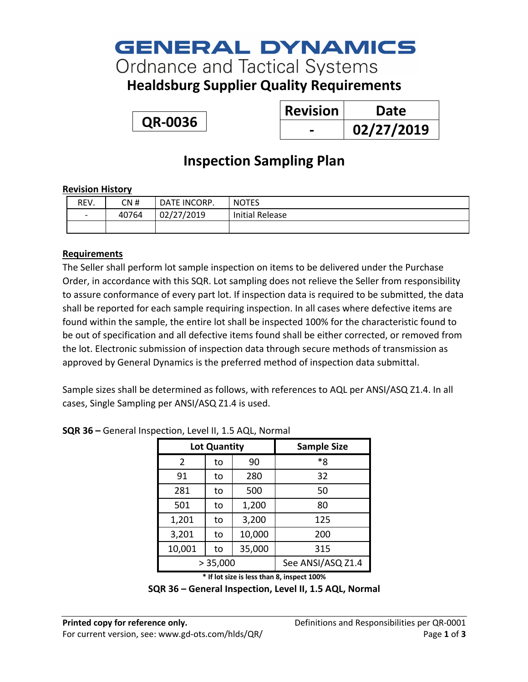## **GENERAL DYNAMICS**

**Ordnance and Tactical Systems** 

**Healdsburg Supplier Quality Requirements**

**QR-0036**

| <b>Revision</b> | Date       |
|-----------------|------------|
|                 | 02/27/2019 |

### **Inspection Sampling Plan**

#### **Revision History**

| REV.                     | CN #  | DATE INCORP. | <b>NOTES</b>    |
|--------------------------|-------|--------------|-----------------|
| $\overline{\phantom{a}}$ | 40764 | 02/27/2019   | Initial Release |
|                          |       |              |                 |

#### **Requirements**

The Seller shall perform lot sample inspection on items to be delivered under the Purchase Order, in accordance with this SQR. Lot sampling does not relieve the Seller from responsibility to assure conformance of every part lot. If inspection data is required to be submitted, the data shall be reported for each sample requiring inspection. In all cases where defective items are found within the sample, the entire lot shall be inspected 100% for the characteristic found to be out of specification and all defective items found shall be either corrected, or removed from the lot. Electronic submission of inspection data through secure methods of transmission as approved by General Dynamics is the preferred method of inspection data submittal.

Sample sizes shall be determined as follows, with references to AQL per ANSI/ASQ Z1.4. In all cases, Single Sampling per ANSI/ASQ Z1.4 is used.

| Lot Quantity |    |        | <b>Sample Size</b> |
|--------------|----|--------|--------------------|
| 2            | to | 90     | *8                 |
| 91           | to | 280    | 32                 |
| 281          | to | 500    | 50                 |
| 501          | to | 1,200  | 80                 |
| 1,201        | to | 3,200  | 125                |
| 3,201        | to | 10,000 | 200                |
| 10,001       | to | 35,000 | 315                |
| > 35,000     |    |        | See ANSI/ASQ Z1.4  |

**SQR 36 –** General Inspection, Level II, 1.5 AQL, Normal

**\* If lot size is less than 8, inspect 100%**

**SQR 36 – General Inspection, Level II, 1.5 AQL, Normal**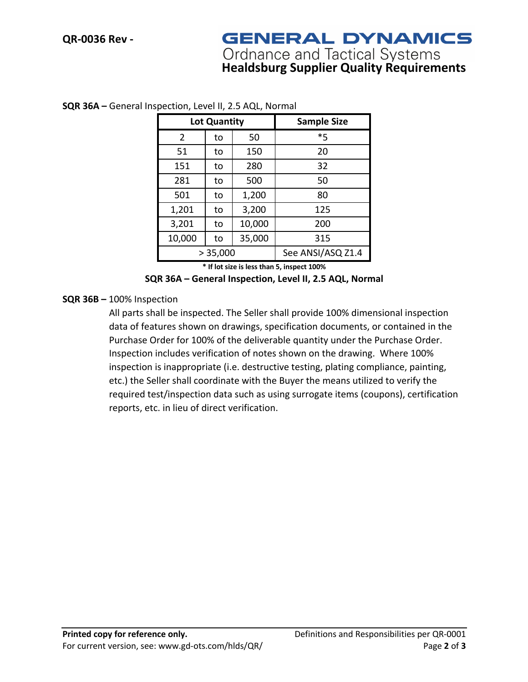### **GENERAL DYNAMICS**

# **Ordnance and Tactical Systems<br>Healdsburg Supplier Quality Requirements**

| Lot Quantity   |    |        | <b>Sample Size</b> |
|----------------|----|--------|--------------------|
| $\overline{2}$ | to | 50     | *5                 |
| 51             | to | 150    | 20                 |
| 151            | to | 280    | 32                 |
| 281            | to | 500    | 50                 |
| 501            | to | 1,200  | 80                 |
| 1,201          | to | 3,200  | 125                |
| 3,201          | to | 10,000 | 200                |
| 10,000         | to | 35,000 | 315                |
| > 35,000       |    |        | See ANSI/ASQ Z1.4  |

#### **SQR 36A –** General Inspection, Level II, 2.5 AQL, Normal

**\* If lot size is less than 5, inspect 100%**

**SQR 36A – General Inspection, Level II, 2.5 AQL, Normal**

#### **SQR 36B –** 100% Inspection

All parts shall be inspected. The Seller shall provide 100% dimensional inspection data of features shown on drawings, specification documents, or contained in the Purchase Order for 100% of the deliverable quantity under the Purchase Order. Inspection includes verification of notes shown on the drawing. Where 100% inspection is inappropriate (i.e. destructive testing, plating compliance, painting, etc.) the Seller shall coordinate with the Buyer the means utilized to verify the required test/inspection data such as using surrogate items (coupons), certification reports, etc. in lieu of direct verification.